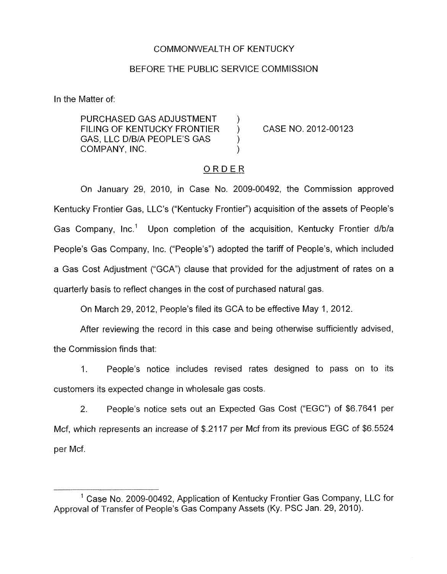## COMMONWEALTH OF KENTUCKY

# BEFORE THE PUBLIC SERVICE COMMISSION

<span id="page-0-0"></span>In the Matter of:

PURCHASED GAS ADJUSTMENT FILING OF KENTUCKY FRONTIER ) CASE **NO.** 2012-00123 GAS, LLC D/B/A PEOPLE'S GAS COMPANY, INC. )

### ORDER

On January 29, 2010, in Case No. 2009-00492, the Commission approved Kentucky Frontier Gas, LLC's ("Kentucky Frontier") acquisition of the assets of People's Gas Company, Inc.' Upon completion of the acquisition, Kentucky Frontier d/b/a People's Gas Company, Inc. ("People's") adopted the tariff of People's, which included a Gas Cost Adjustment ("GCA") clause that provided for the adjustment of rates on a quarterly basis to reflect changes in the cost of purchased natural gas.

On March 29, 2012, People's filed its GCA to be effective May 1, 2012.

After reviewing the record in this case and being otherwise sufficiently advised, the Commission finds that:

I. People's notice includes revised rates designed to pass on to its customers its expected change in wholesale gas costs.

2. People's notice sets out an Expected Gas Cost ("EGC") of \$6.7641 per Mcf, which represents an increase of \$.2117 per Mcf from its previous EGC of \$6.5524 per Mcf.

 $1$  Case No. 2009-00492, Application of Kentucky Frontier Gas Company, LLC for Approval of Transfer of People's Gas Company Assets (Ky. PSC Jan. 29, 2010).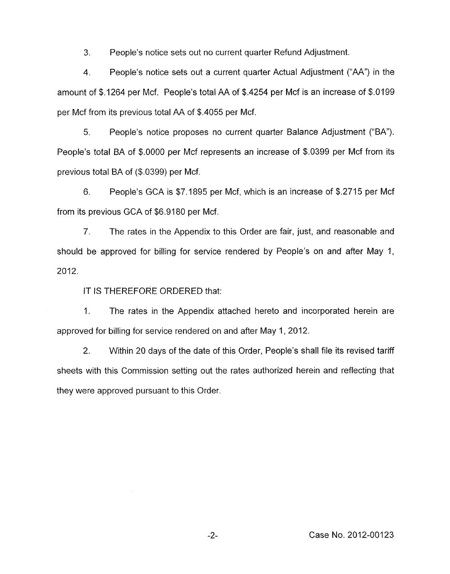3. People's notice sets out no current quarter Refund Adjustment.

**4.**  People's notice sets out a current quarter Actual Adjustment ("AA") in the amount of \$.I264 per Mcf. People's total AA of \$.4254 per Mcf is an increase of \$.0199 per Mcf from its previous total AA of \$.4055 per Mcf.

*5.* People's notice proposes no current quarter Balance Adjustment ("BA''). People's total BA of \$.OOOO per Mcf represents an increase of \$.0399 per Mcf from its previous total BA of (\$.0399) per Mcf.

6. People's GCA is \$7.1 895 per Mcf, which is an increase of \$.2715 per Mcf from its previous GCA of \$6.9180 per Mcf.

7. The rates in the Appendix to this Order are fair, just, and reasonable and should be approved for billing for service rendered by People's on and after May 1, 2012.

IT IS THEREFORE ORDERED that:

1. The rates in the Appendix attached hereto and incorporated herein are approved for billing for service rendered on and after May 1,2012.

2. Within 20 days of the date of this Order, People's shall file its revised tariff sheets with this Commission setting out the rates authorized herein and reflecting that they were approved pursuant to this Order.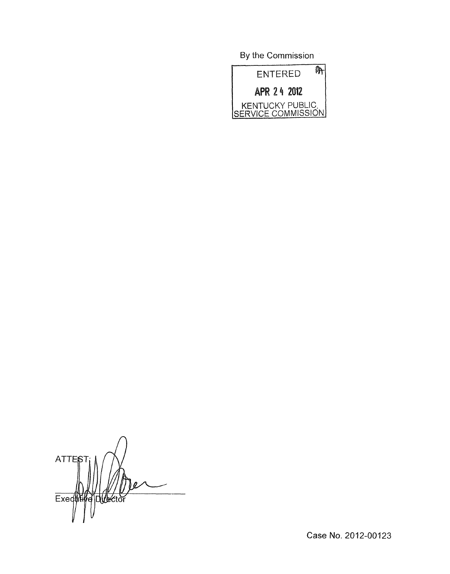By the Commission



**ATTES** Exeduti **Director** 

Case No. 2012-00123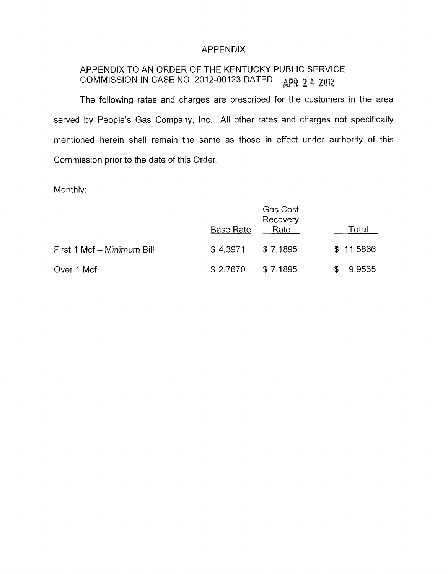### APPENDIX

#### APPENDIX TO AN ORDER OF THE KENTUCKY PUBLIC SERVICE COMMISSION IN CASE NO. 2012-00123 DATED APR 2 4 2012

The following rates and charges are prescribed for the customers in the area served by People's Gas Company, Inc. All other rates and charges not specifically mentioned herein shall remain the same as those in effect under authority of this Commission prior to the date of this Order.

# Monthly:

 $\sim$ 

|                            | <b>Base Rate</b> | <b>Gas Cost</b><br>Recovery<br>Rate |    | Total     |
|----------------------------|------------------|-------------------------------------|----|-----------|
| First 1 Mcf - Minimum Bill | \$4.3971         | \$7.1895                            |    | \$11.5866 |
| Over 1 Mcf                 | \$2.7670         | \$7.1895                            | S. | 9.9565    |